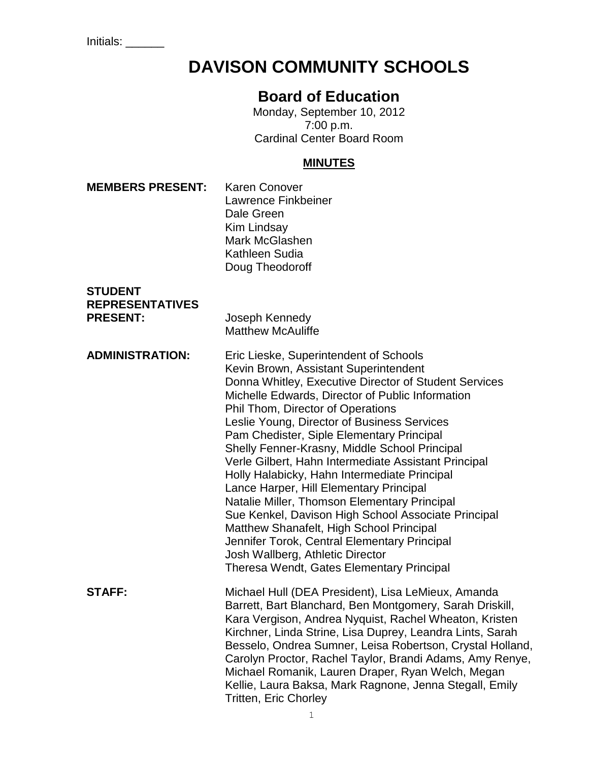Initials: \_\_\_\_\_\_

# **DAVISON COMMUNITY SCHOOLS**

# **Board of Education**

Monday, September 10, 2012 7:00 p.m. Cardinal Center Board Room

# **MINUTES**

| <b>MEMBERS PRESENT:</b>                                     | <b>Karen Conover</b><br>Lawrence Finkbeiner<br>Dale Green<br>Kim Lindsay<br>Mark McGlashen<br>Kathleen Sudia<br>Doug Theodoroff                                                                                                                                                                                                                                                                                                                                                                                                                                                                                                                                                                                                                                                                                       |
|-------------------------------------------------------------|-----------------------------------------------------------------------------------------------------------------------------------------------------------------------------------------------------------------------------------------------------------------------------------------------------------------------------------------------------------------------------------------------------------------------------------------------------------------------------------------------------------------------------------------------------------------------------------------------------------------------------------------------------------------------------------------------------------------------------------------------------------------------------------------------------------------------|
| <b>STUDENT</b><br><b>REPRESENTATIVES</b><br><b>PRESENT:</b> | Joseph Kennedy<br><b>Matthew McAuliffe</b>                                                                                                                                                                                                                                                                                                                                                                                                                                                                                                                                                                                                                                                                                                                                                                            |
| <b>ADMINISTRATION:</b>                                      | Eric Lieske, Superintendent of Schools<br>Kevin Brown, Assistant Superintendent<br>Donna Whitley, Executive Director of Student Services<br>Michelle Edwards, Director of Public Information<br>Phil Thom, Director of Operations<br>Leslie Young, Director of Business Services<br>Pam Chedister, Siple Elementary Principal<br>Shelly Fenner-Krasny, Middle School Principal<br>Verle Gilbert, Hahn Intermediate Assistant Principal<br>Holly Halabicky, Hahn Intermediate Principal<br>Lance Harper, Hill Elementary Principal<br>Natalie Miller, Thomson Elementary Principal<br>Sue Kenkel, Davison High School Associate Principal<br>Matthew Shanafelt, High School Principal<br>Jennifer Torok, Central Elementary Principal<br>Josh Wallberg, Athletic Director<br>Theresa Wendt, Gates Elementary Principal |
| <b>STAFF:</b>                                               | Michael Hull (DEA President), Lisa LeMieux, Amanda<br>Barrett, Bart Blanchard, Ben Montgomery, Sarah Driskill,<br>Kara Vergison, Andrea Nyquist, Rachel Wheaton, Kristen<br>Kirchner, Linda Strine, Lisa Duprey, Leandra Lints, Sarah<br>Besselo, Ondrea Sumner, Leisa Robertson, Crystal Holland,<br>Carolyn Proctor, Rachel Taylor, Brandi Adams, Amy Renye,<br>Michael Romanik, Lauren Draper, Ryan Welch, Megan<br>Kellie, Laura Baksa, Mark Ragnone, Jenna Stegall, Emily<br><b>Tritten, Eric Chorley</b>                                                                                                                                                                                                                                                                                                        |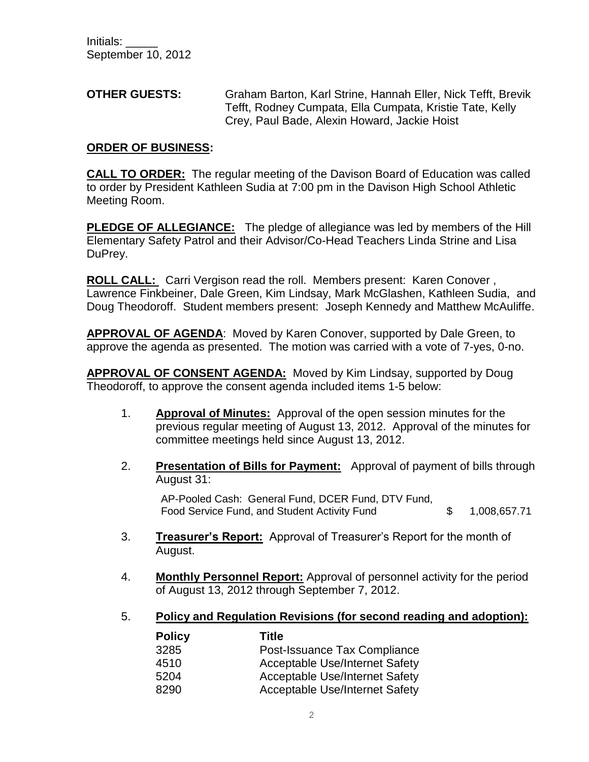**OTHER GUESTS:** Graham Barton, Karl Strine, Hannah Eller, Nick Tefft, Brevik Tefft, Rodney Cumpata, Ella Cumpata, Kristie Tate, Kelly Crey, Paul Bade, Alexin Howard, Jackie Hoist

#### **ORDER OF BUSINESS:**

**CALL TO ORDER:** The regular meeting of the Davison Board of Education was called to order by President Kathleen Sudia at 7:00 pm in the Davison High School Athletic Meeting Room.

**PLEDGE OF ALLEGIANCE:** The pledge of allegiance was led by members of the Hill Elementary Safety Patrol and their Advisor/Co-Head Teachers Linda Strine and Lisa DuPrey.

**ROLL CALL:** Carri Vergison read the roll. Members present: Karen Conover , Lawrence Finkbeiner, Dale Green, Kim Lindsay, Mark McGlashen, Kathleen Sudia, and Doug Theodoroff. Student members present: Joseph Kennedy and Matthew McAuliffe.

**APPROVAL OF AGENDA**: Moved by Karen Conover, supported by Dale Green, to approve the agenda as presented. The motion was carried with a vote of 7-yes, 0-no.

**APPROVAL OF CONSENT AGENDA:** Moved by Kim Lindsay, supported by Doug Theodoroff, to approve the consent agenda included items 1-5 below:

- 1. **Approval of Minutes:** Approval of the open session minutes for the previous regular meeting of August 13, 2012. Approval of the minutes for committee meetings held since August 13, 2012.
- 2. **Presentation of Bills for Payment:** Approval of payment of bills through August 31:

AP-Pooled Cash: General Fund, DCER Fund, DTV Fund, Food Service Fund, and Student Activity Fund  $$ 1,008,657.71$ 

- 3. **Treasurer's Report:** Approval of Treasurer's Report for the month of August.
- 4. **Monthly Personnel Report:** Approval of personnel activity for the period of August 13, 2012 through September 7, 2012.

#### 5. **Policy and Regulation Revisions (for second reading and adoption):**

| <b>Policy</b> | <b>Title</b>                          |
|---------------|---------------------------------------|
| 3285          | Post-Issuance Tax Compliance          |
| 4510          | <b>Acceptable Use/Internet Safety</b> |
| 5204          | <b>Acceptable Use/Internet Safety</b> |
| 8290          | <b>Acceptable Use/Internet Safety</b> |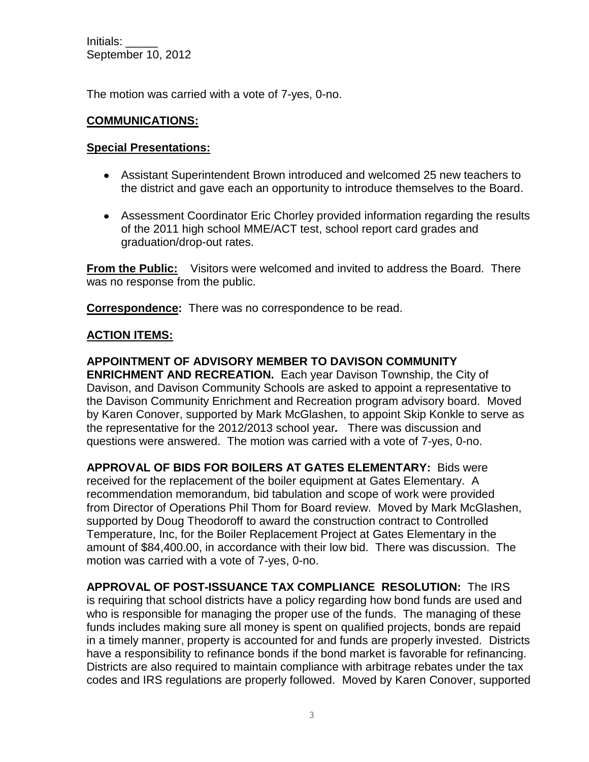The motion was carried with a vote of 7-yes, 0-no.

#### **COMMUNICATIONS:**

#### **Special Presentations:**

- Assistant Superintendent Brown introduced and welcomed 25 new teachers to the district and gave each an opportunity to introduce themselves to the Board.
- Assessment Coordinator Eric Chorley provided information regarding the results of the 2011 high school MME/ACT test, school report card grades and graduation/drop-out rates.

**From the Public:** Visitors were welcomed and invited to address the Board. There was no response from the public.

**Correspondence:** There was no correspondence to be read.

# **ACTION ITEMS:**

#### **APPOINTMENT OF ADVISORY MEMBER TO DAVISON COMMUNITY ENRICHMENT AND RECREATION.** Each year Davison Township, the City of Davison, and Davison Community Schools are asked to appoint a representative to the Davison Community Enrichment and Recreation program advisory board. Moved by Karen Conover, supported by Mark McGlashen, to appoint Skip Konkle to serve as the representative for the 2012/2013 school year*.* There was discussion and questions were answered. The motion was carried with a vote of 7-yes, 0-no.

**APPROVAL OF BIDS FOR BOILERS AT GATES ELEMENTARY:** Bids were received for the replacement of the boiler equipment at Gates Elementary. A recommendation memorandum, bid tabulation and scope of work were provided from Director of Operations Phil Thom for Board review. Moved by Mark McGlashen, supported by Doug Theodoroff to award the construction contract to Controlled Temperature, Inc, for the Boiler Replacement Project at Gates Elementary in the amount of \$84,400.00, in accordance with their low bid. There was discussion. The motion was carried with a vote of 7-yes, 0-no.

**APPROVAL OF POST-ISSUANCE TAX COMPLIANCE RESOLUTION:** The IRS is requiring that school districts have a policy regarding how bond funds are used and who is responsible for managing the proper use of the funds. The managing of these funds includes making sure all money is spent on qualified projects, bonds are repaid in a timely manner, property is accounted for and funds are properly invested. Districts have a responsibility to refinance bonds if the bond market is favorable for refinancing. Districts are also required to maintain compliance with arbitrage rebates under the tax codes and IRS regulations are properly followed. Moved by Karen Conover, supported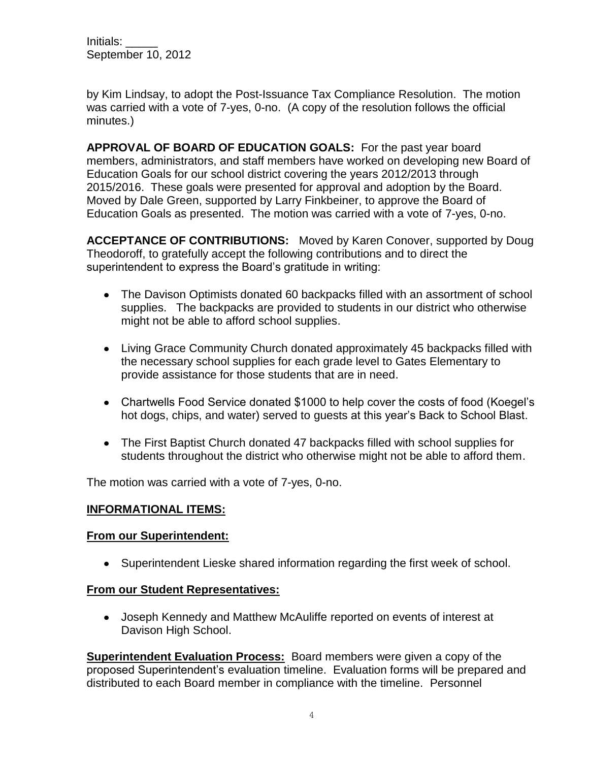by Kim Lindsay, to adopt the Post-Issuance Tax Compliance Resolution. The motion was carried with a vote of 7-yes, 0-no. (A copy of the resolution follows the official minutes.)

**APPROVAL OF BOARD OF EDUCATION GOALS:** For the past year board members, administrators, and staff members have worked on developing new Board of Education Goals for our school district covering the years 2012/2013 through 2015/2016. These goals were presented for approval and adoption by the Board. Moved by Dale Green, supported by Larry Finkbeiner, to approve the Board of Education Goals as presented. The motion was carried with a vote of 7-yes, 0-no.

**ACCEPTANCE OF CONTRIBUTIONS:** Moved by Karen Conover, supported by Doug Theodoroff, to gratefully accept the following contributions and to direct the superintendent to express the Board's gratitude in writing:

- The Davison Optimists donated 60 backpacks filled with an assortment of school supplies. The backpacks are provided to students in our district who otherwise might not be able to afford school supplies.
- Living Grace Community Church donated approximately 45 backpacks filled with the necessary school supplies for each grade level to Gates Elementary to provide assistance for those students that are in need.
- Chartwells Food Service donated \$1000 to help cover the costs of food (Koegel's hot dogs, chips, and water) served to guests at this year's Back to School Blast.
- The First Baptist Church donated 47 backpacks filled with school supplies for students throughout the district who otherwise might not be able to afford them.

The motion was carried with a vote of 7-yes, 0-no.

# **INFORMATIONAL ITEMS:**

# **From our Superintendent:**

Superintendent Lieske shared information regarding the first week of school.

# **From our Student Representatives:**

Joseph Kennedy and Matthew McAuliffe reported on events of interest at Davison High School.

**Superintendent Evaluation Process:** Board members were given a copy of the proposed Superintendent's evaluation timeline. Evaluation forms will be prepared and distributed to each Board member in compliance with the timeline. Personnel